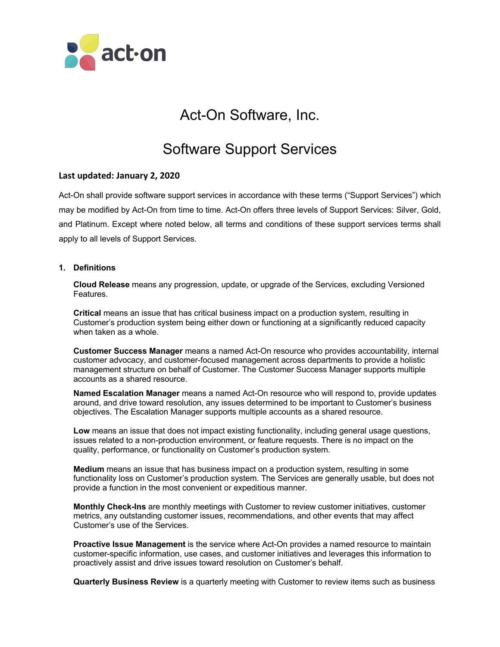

# Act-On Software, Inc.

# Software Support Services

## **Last updated: January 2, 2020**

Act-On shall provide software support services in accordance with these terms ("Support Services") which may be modified by Act-On from time to time. Act-On offers three levels of Support Services: Silver, Gold, and Platinum. Except where noted below, all terms and conditions of these support services terms shall apply to all levels of Support Services.

### **1. Definitions**

**Cloud Release** means any progression, update, or upgrade of the Services, excluding Versioned Features.

**Critical** means an issue that has critical business impact on a production system, resulting in Customer's production system being either down or functioning at a significantly reduced capacity when taken as a whole.

**Customer Success Manager** means a named Act-On resource who provides accountability, internal customer advocacy, and customer-focused management across departments to provide a holistic management structure on behalf of Customer. The Customer Success Manager supports multiple accounts as a shared resource.

**Named Escalation Manager** means a named Act-On resource who will respond to, provide updates around, and drive toward resolution, any issues determined to be important to Customer's business objectives. The Escalation Manager supports multiple accounts as a shared resource.

**Low** means an issue that does not impact existing functionality, including general usage questions, issues related to a non-production environment, or feature requests. There is no impact on the quality, performance, or functionality on Customer's production system.

**Medium** means an issue that has business impact on a production system, resulting in some functionality loss on Customer's production system. The Services are generally usable, but does not provide a function in the most convenient or expeditious manner.

**Monthly Check-Ins** are monthly meetings with Customer to review customer initiatives, customer metrics, any outstanding customer issues, recommendations, and other events that may affect Customer's use of the Services.

**Proactive Issue Management** is the service where Act-On provides a named resource to maintain customer-specific information, use cases, and customer initiatives and leverages this information to proactively assist and drive issues toward resolution on Customer's behalf.

**Quarterly Business Review** is a quarterly meeting with Customer to review items such as business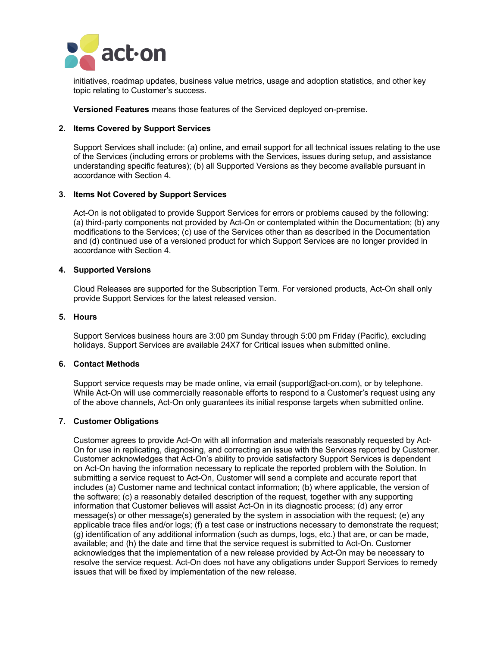

initiatives, roadmap updates, business value metrics, usage and adoption statistics, and other key topic relating to Customer's success.

**Versioned Features** means those features of the Serviced deployed on-premise.

### **2. Items Covered by Support Services**

Support Services shall include: (a) online, and email support for all technical issues relating to the use of the Services (including errors or problems with the Services, issues during setup, and assistance understanding specific features); (b) all Supported Versions as they become available pursuant in accordance with Section 4.

#### **3. Items Not Covered by Support Services**

Act-On is not obligated to provide Support Services for errors or problems caused by the following: (a) third-party components not provided by Act-On or contemplated within the Documentation; (b) any modifications to the Services; (c) use of the Services other than as described in the Documentation and (d) continued use of a versioned product for which Support Services are no longer provided in accordance with Section 4.

#### **4. Supported Versions**

Cloud Releases are supported for the Subscription Term. For versioned products, Act-On shall only provide Support Services for the latest released version.

#### **5. Hours**

Support Services business hours are 3:00 pm Sunday through 5:00 pm Friday (Pacific), excluding holidays. Support Services are available 24X7 for Critical issues when submitted online.

## **6. Contact Methods**

Support service requests may be made online, via email (support@act-on.com), or by telephone. While Act-On will use commercially reasonable efforts to respond to a Customer's request using any of the above channels, Act-On only guarantees its initial response targets when submitted online.

#### **7. Customer Obligations**

Customer agrees to provide Act-On with all information and materials reasonably requested by Act-On for use in replicating, diagnosing, and correcting an issue with the Services reported by Customer. Customer acknowledges that Act-On's ability to provide satisfactory Support Services is dependent on Act-On having the information necessary to replicate the reported problem with the Solution. In submitting a service request to Act-On, Customer will send a complete and accurate report that includes (a) Customer name and technical contact information; (b) where applicable, the version of the software; (c) a reasonably detailed description of the request, together with any supporting information that Customer believes will assist Act-On in its diagnostic process; (d) any error message(s) or other message(s) generated by the system in association with the request; (e) any applicable trace files and/or logs; (f) a test case or instructions necessary to demonstrate the request; (g) identification of any additional information (such as dumps, logs, etc.) that are, or can be made, available; and (h) the date and time that the service request is submitted to Act-On. Customer acknowledges that the implementation of a new release provided by Act-On may be necessary to resolve the service request. Act-On does not have any obligations under Support Services to remedy issues that will be fixed by implementation of the new release.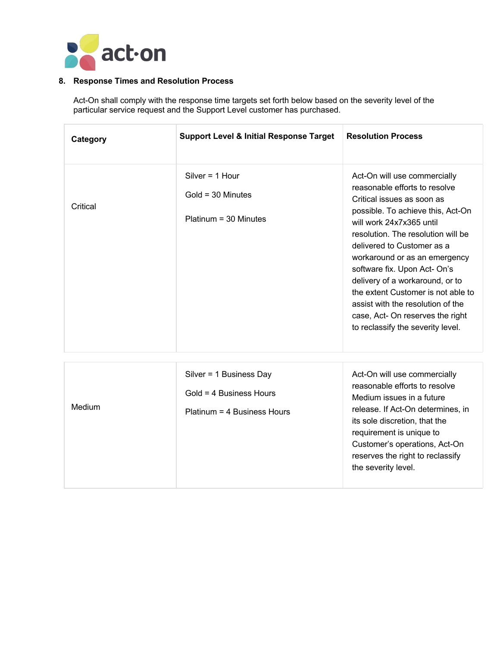

## **8. Response Times and Resolution Process**

Act-On shall comply with the response time targets set forth below based on the severity level of the particular service request and the Support Level customer has purchased.

| Category | <b>Support Level &amp; Initial Response Target</b>                  | <b>Resolution Process</b>                                                                                                                                                                                                                                                                                                                                                                                                                                                                |
|----------|---------------------------------------------------------------------|------------------------------------------------------------------------------------------------------------------------------------------------------------------------------------------------------------------------------------------------------------------------------------------------------------------------------------------------------------------------------------------------------------------------------------------------------------------------------------------|
| Critical | Silver = $1$ Hour<br>$Gold = 30$ Minutes<br>$Platinum = 30$ Minutes | Act-On will use commercially<br>reasonable efforts to resolve<br>Critical issues as soon as<br>possible. To achieve this, Act-On<br>will work 24x7x365 until<br>resolution. The resolution will be<br>delivered to Customer as a<br>workaround or as an emergency<br>software fix. Upon Act- On's<br>delivery of a workaround, or to<br>the extent Customer is not able to<br>assist with the resolution of the<br>case, Act- On reserves the right<br>to reclassify the severity level. |

| Medium | Silver = $1$ Business Day<br>$Gold = 4$ Business Hours<br>Platinum = 4 Business Hours | Act-On will use commercially<br>reasonable efforts to resolve<br>Medium issues in a future<br>release. If Act-On determines, in<br>its sole discretion, that the<br>requirement is unique to<br>Customer's operations, Act-On<br>reserves the right to reclassify<br>the severity level. |
|--------|---------------------------------------------------------------------------------------|------------------------------------------------------------------------------------------------------------------------------------------------------------------------------------------------------------------------------------------------------------------------------------------|
|        |                                                                                       |                                                                                                                                                                                                                                                                                          |